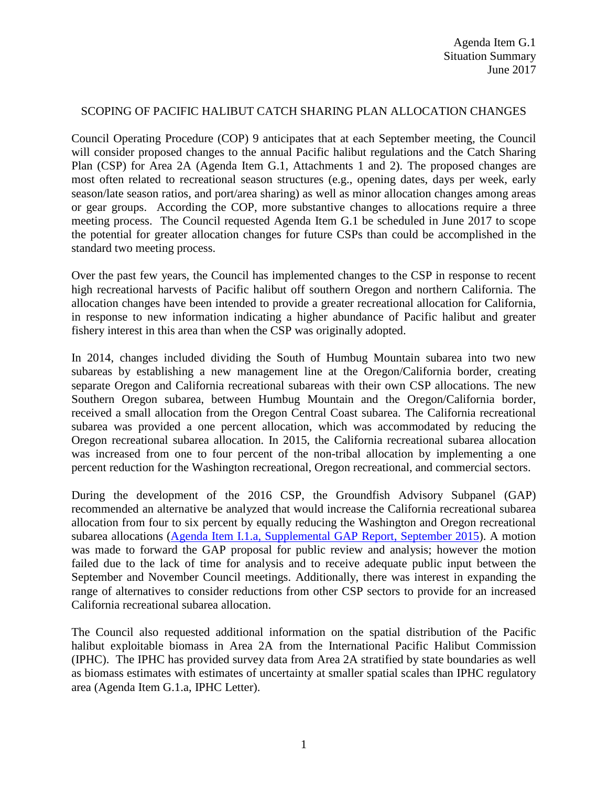#### SCOPING OF PACIFIC HALIBUT CATCH SHARING PLAN ALLOCATION CHANGES

Council Operating Procedure (COP) 9 anticipates that at each September meeting, the Council will consider proposed changes to the annual Pacific halibut regulations and the Catch Sharing Plan (CSP) for Area 2A (Agenda Item G.1, Attachments 1 and 2). The proposed changes are most often related to recreational season structures (e.g., opening dates, days per week, early season/late season ratios, and port/area sharing) as well as minor allocation changes among areas or gear groups. According the COP, more substantive changes to allocations require a three meeting process. The Council requested Agenda Item G.1 be scheduled in June 2017 to scope the potential for greater allocation changes for future CSPs than could be accomplished in the standard two meeting process.

Over the past few years, the Council has implemented changes to the CSP in response to recent high recreational harvests of Pacific halibut off southern Oregon and northern California. The allocation changes have been intended to provide a greater recreational allocation for California, in response to new information indicating a higher abundance of Pacific halibut and greater fishery interest in this area than when the CSP was originally adopted.

In 2014, changes included dividing the South of Humbug Mountain subarea into two new subareas by establishing a new management line at the Oregon/California border, creating separate Oregon and California recreational subareas with their own CSP allocations. The new Southern Oregon subarea, between Humbug Mountain and the Oregon/California border, received a small allocation from the Oregon Central Coast subarea. The California recreational subarea was provided a one percent allocation, which was accommodated by reducing the Oregon recreational subarea allocation. In 2015, the California recreational subarea allocation was increased from one to four percent of the non-tribal allocation by implementing a one percent reduction for the Washington recreational, Oregon recreational, and commercial sectors.

During the development of the 2016 CSP, the Groundfish Advisory Subpanel (GAP) recommended an alternative be analyzed that would increase the California recreational subarea allocation from four to six percent by equally reducing the Washington and Oregon recreational subarea allocations [\(Agenda Item I.1.a, Supplemental GAP Report, September 2015\)](http://www.pcouncil.org/wp-content/uploads/2015/09/I1a_SUP_GAP_Rpt_SEPT2015BB.pdf). A motion was made to forward the GAP proposal for public review and analysis; however the motion failed due to the lack of time for analysis and to receive adequate public input between the September and November Council meetings. Additionally, there was interest in expanding the range of alternatives to consider reductions from other CSP sectors to provide for an increased California recreational subarea allocation.

The Council also requested additional information on the spatial distribution of the Pacific halibut exploitable biomass in Area 2A from the International Pacific Halibut Commission (IPHC). The IPHC has provided survey data from Area 2A stratified by state boundaries as well as biomass estimates with estimates of uncertainty at smaller spatial scales than IPHC regulatory area (Agenda Item G.1.a, IPHC Letter).